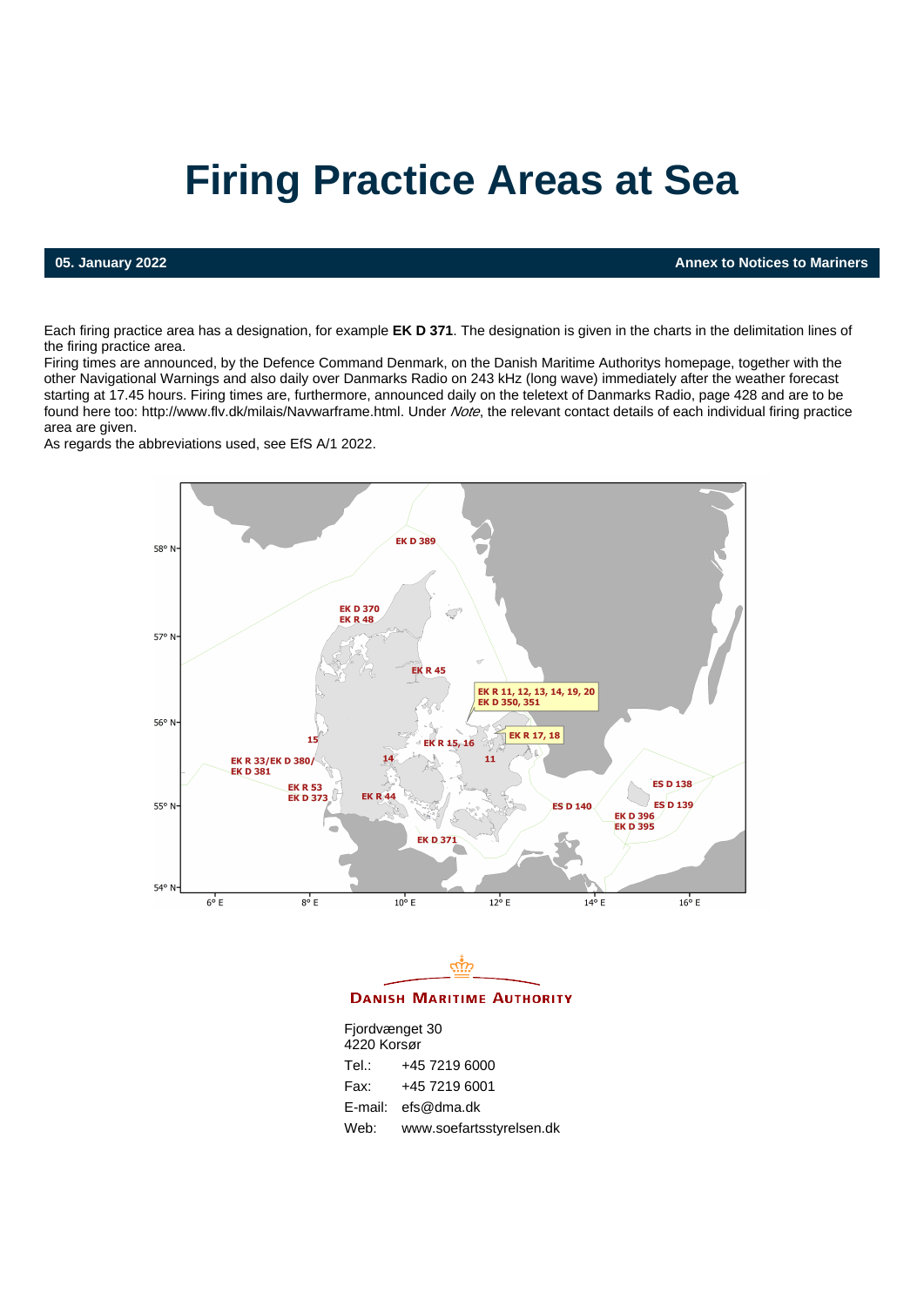# **Firing Practice Areas at Sea**

**05. January 2022 Annex to Notices to Mariners**

Each firing practice area has a designation, for example **EK D 371**. The designation is given in the charts in the delimitation lines of the firing practice area.

Firing times are announced, by the Defence Command Denmark, on the Danish Maritime Authoritys homepage, together with the other Navigational Warnings and also daily over Danmarks Radio on 243 kHz (long wave) immediately after the weather forecast starting at 17.45 hours. Firing times are, furthermore, announced daily on the teletext of Danmarks Radio, page 428 and are to be found here too:<http://www.flv.dk/milais/Navwarframe.html>. Under Note, the relevant contact details of each individual firing practice area are given.

As regards the abbreviations used, see EfS A/1 2022.





**DANISH MARITIME AUTHORITY** 

| Fjordvænget 30 |                          |  |
|----------------|--------------------------|--|
| 4220 Korsør    |                          |  |
| Tel.:          | +45 7219 6000            |  |
| Fax:           | +45 7219 6001            |  |
| E-mail:        | efs@dma.dk               |  |
| Web:           | www.soefartsstyrelsen.dk |  |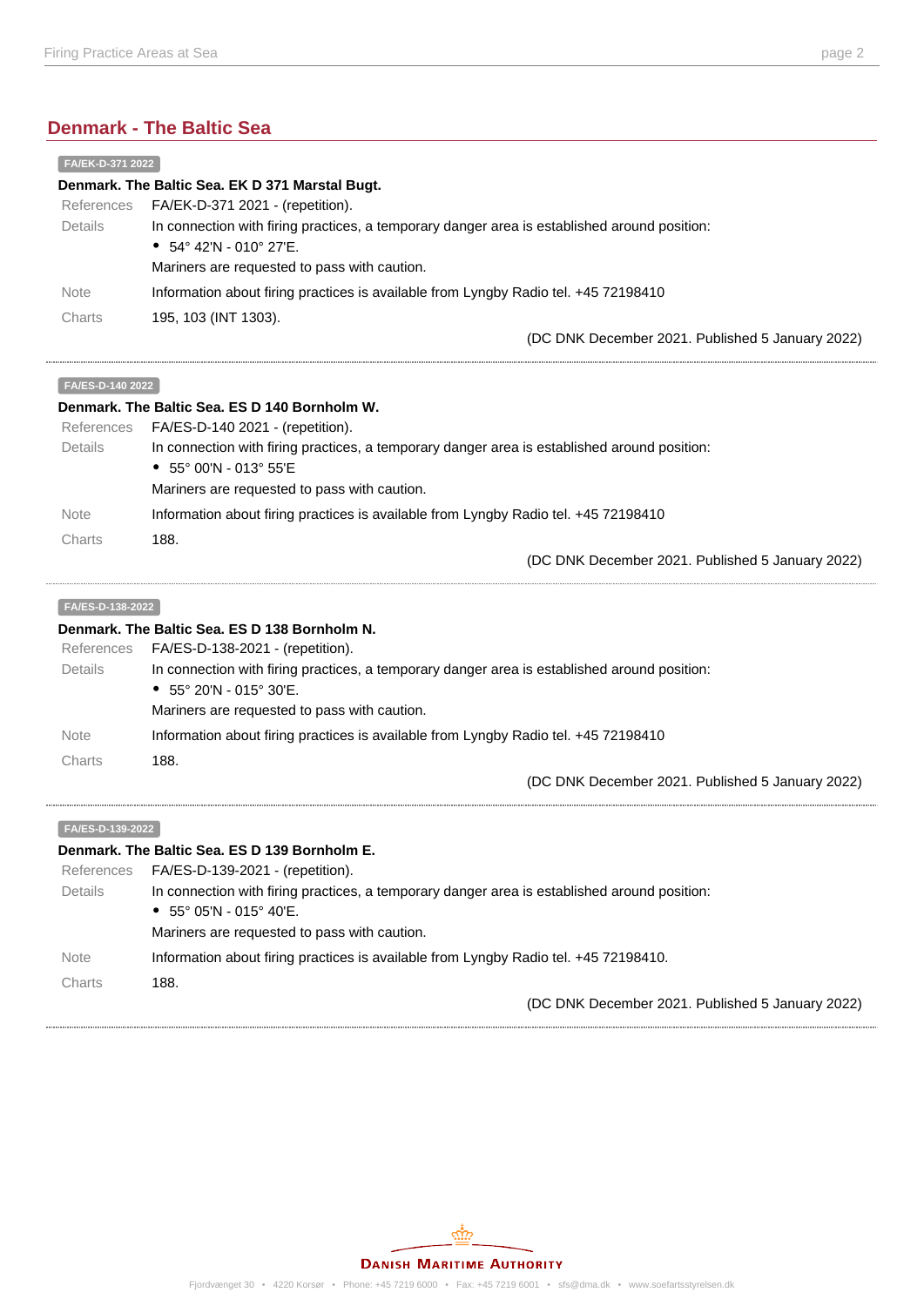## **Denmark - The Baltic Sea**

| FA/EK-D-371 2022                                |                                                                                              |  |
|-------------------------------------------------|----------------------------------------------------------------------------------------------|--|
| Denmark. The Baltic Sea. EK D 371 Marstal Bugt. |                                                                                              |  |
| References                                      | FA/EK-D-371 2021 - (repetition).                                                             |  |
| Details                                         | In connection with firing practices, a temporary danger area is established around position: |  |
|                                                 | • $54^{\circ}$ 42'N - 010° 27'E.                                                             |  |
|                                                 | Mariners are requested to pass with caution.                                                 |  |
| <b>Note</b>                                     | Information about firing practices is available from Lyngby Radio tel. +45 72198410          |  |
| Charts                                          | 195, 103 (INT 1303).                                                                         |  |
|                                                 | (DC DNK December 2021. Published 5 January 2022)                                             |  |

#### **FA/ES-D-140 2022**

| Denmark. The Baltic Sea. ES D 140 Bornholm W. |                                                                                              |  |
|-----------------------------------------------|----------------------------------------------------------------------------------------------|--|
| References                                    | FA/ES-D-140 2021 - (repetition).                                                             |  |
| Details                                       | In connection with firing practices, a temporary danger area is established around position: |  |
|                                               | • $55^{\circ}$ 00'N - 013° 55'E                                                              |  |
|                                               | Mariners are requested to pass with caution.                                                 |  |
| <b>Note</b>                                   | Information about firing practices is available from Lyngby Radio tel. +45 72198410          |  |
| Charts                                        | 188.                                                                                         |  |
|                                               | (DC DNK December 2021. Published 5 January 2022)                                             |  |

#### **FA/ES-D-138-2022**

#### **Denmark. The Baltic Sea. ES D 138 Bornholm N.**

| References<br><b>Details</b> | FA/ES-D-138-2021 - (repetition).<br>In connection with firing practices, a temporary danger area is established around position:<br>• $55^{\circ}$ 20'N - 015° 30'E. |
|------------------------------|----------------------------------------------------------------------------------------------------------------------------------------------------------------------|
|                              | Mariners are requested to pass with caution.                                                                                                                         |
| <b>Note</b>                  | Information about firing practices is available from Lyngby Radio tel. +45 72198410                                                                                  |
| Charts                       | 188.                                                                                                                                                                 |
|                              | (DC DNK December 2021. Published 5 January 2022)                                                                                                                     |

#### **FA/ES-D-139-2022**

#### **Denmark. The Baltic Sea. ES D 139 Bornholm E.**

| References  | FA/ES-D-139-2021 - (repetition).                                                             |
|-------------|----------------------------------------------------------------------------------------------|
| Details     | In connection with firing practices, a temporary danger area is established around position: |
|             | • $55^{\circ}$ 05'N - 015° 40'E.                                                             |
|             | Mariners are requested to pass with caution.                                                 |
| <b>Note</b> | Information about firing practices is available from Lyngby Radio tel. +45 72198410.         |
| Charts      | 188.                                                                                         |
|             | (DC DNK December 2021. Published 5 January 2022)                                             |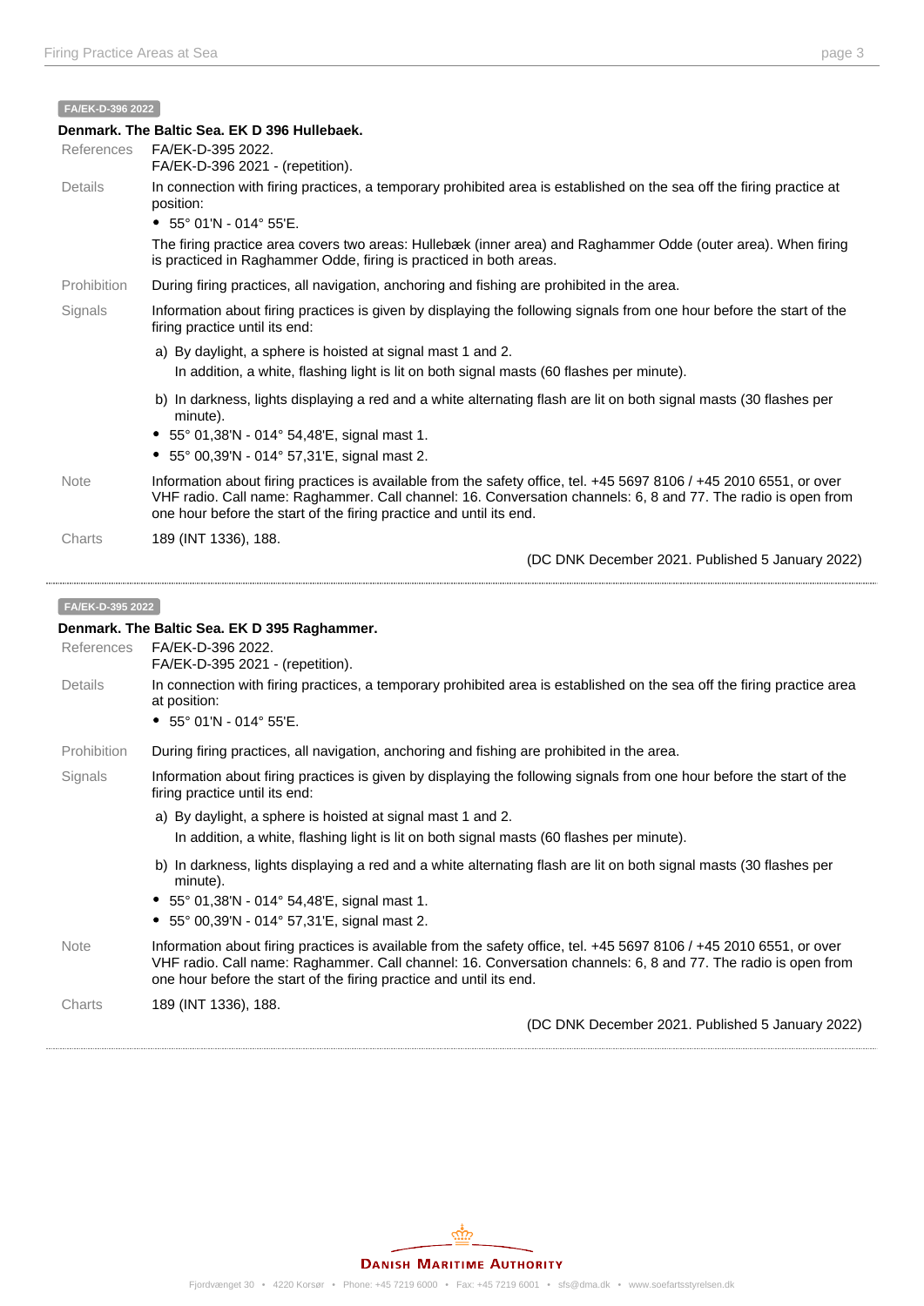**FA/EK-D-396 2022**

| Denmark. The Baltic Sea. EK D 396 Hullebaek. |                                                                                                                                                                                                                                                                                                             |  |
|----------------------------------------------|-------------------------------------------------------------------------------------------------------------------------------------------------------------------------------------------------------------------------------------------------------------------------------------------------------------|--|
| References                                   | FA/EK-D-395 2022.<br>FA/EK-D-396 2021 - (repetition).                                                                                                                                                                                                                                                       |  |
| Details                                      | In connection with firing practices, a temporary prohibited area is established on the sea off the firing practice at<br>position:                                                                                                                                                                          |  |
|                                              | • $55^{\circ}$ 01'N - 014° 55'E.                                                                                                                                                                                                                                                                            |  |
|                                              | The firing practice area covers two areas: Hullebæk (inner area) and Raghammer Odde (outer area). When firing<br>is practiced in Raghammer Odde, firing is practiced in both areas.                                                                                                                         |  |
| Prohibition                                  | During firing practices, all navigation, anchoring and fishing are prohibited in the area.                                                                                                                                                                                                                  |  |
| Signals                                      | Information about firing practices is given by displaying the following signals from one hour before the start of the<br>firing practice until its end:                                                                                                                                                     |  |
|                                              | a) By daylight, a sphere is hoisted at signal mast 1 and 2.                                                                                                                                                                                                                                                 |  |
|                                              | In addition, a white, flashing light is lit on both signal masts (60 flashes per minute).                                                                                                                                                                                                                   |  |
|                                              | b) In darkness, lights displaying a red and a white alternating flash are lit on both signal masts (30 flashes per<br>minute).                                                                                                                                                                              |  |
|                                              | • $55^{\circ}$ 01,38'N - 014 $^{\circ}$ 54,48'E, signal mast 1.                                                                                                                                                                                                                                             |  |
|                                              | • $55^{\circ}$ 00,39'N - 014 $^{\circ}$ 57,31'E, signal mast 2.                                                                                                                                                                                                                                             |  |
| <b>Note</b>                                  | Information about firing practices is available from the safety office, tel. +45 5697 8106 / +45 2010 6551, or over<br>VHF radio. Call name: Raghammer. Call channel: 16. Conversation channels: 6, 8 and 77. The radio is open from<br>one hour before the start of the firing practice and until its end. |  |
| Charts                                       | 189 (INT 1336), 188.                                                                                                                                                                                                                                                                                        |  |
|                                              | (DC DNK December 2021. Published 5 January 2022)                                                                                                                                                                                                                                                            |  |
|                                              |                                                                                                                                                                                                                                                                                                             |  |

#### **FA/EK-D-395 2022**

#### **Denmark. The Baltic Sea. EK D 395 Raghammer.**

References FA/EK-D-396 2022. FA/EK-D-395 2021 - (repetition).

Details In connection with firing practices, a temporary prohibited area is established on the sea off the firing practice area at position:

55° 01'N - 014° 55'E.

Prohibition During firing practices, all navigation, anchoring and fishing are prohibited in the area.

#### Signals Information about firing practices is given by displaying the following signals from one hour before the start of the firing practice until its end:

- a) By daylight, a sphere is hoisted at signal mast 1 and 2. In addition, a white, flashing light is lit on both signal masts (60 flashes per minute).
	- b) In darkness, lights displaying a red and a white alternating flash are lit on both signal masts (30 flashes per minute).
- 55° 01,38'N 014° 54,48'E, signal mast 1.
- 55° 00,39'N 014° 57,31'E, signal mast 2.
- Note Information about firing practices is available from the safety office, tel. +45 5697 8106 / +45 2010 6551, or over VHF radio. Call name: Raghammer. Call channel: 16. Conversation channels: 6, 8 and 77. The radio is open from one hour before the start of the firing practice and until its end.
- Charts 189 (INT 1336), 188.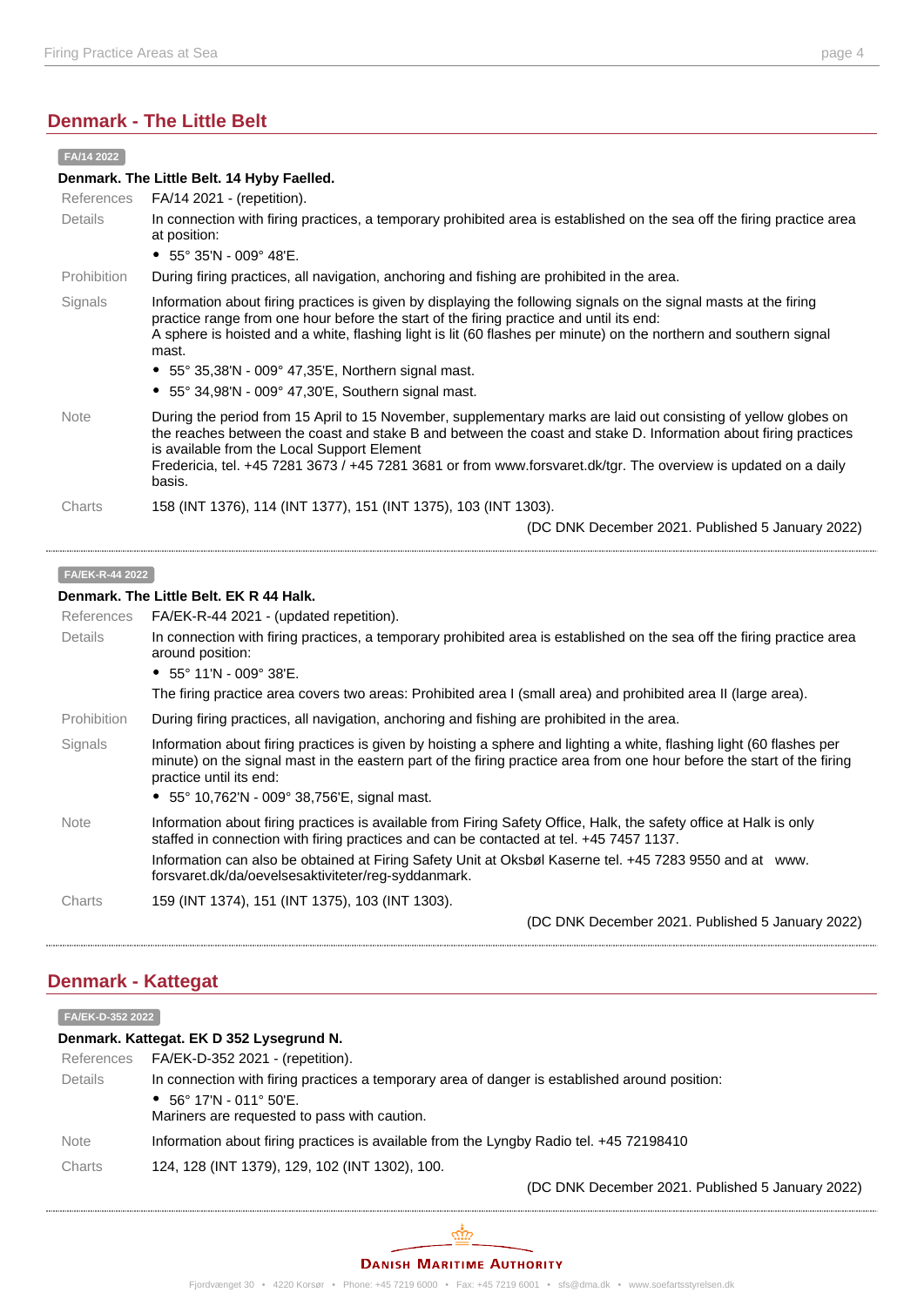#### **Denmark - The Little Belt**

| FA/14 2022      |                                                                                                                                                                                                                                                                                                                                                                                                                                                           |  |
|-----------------|-----------------------------------------------------------------------------------------------------------------------------------------------------------------------------------------------------------------------------------------------------------------------------------------------------------------------------------------------------------------------------------------------------------------------------------------------------------|--|
|                 | Denmark. The Little Belt. 14 Hyby Faelled.                                                                                                                                                                                                                                                                                                                                                                                                                |  |
| References      | FA/14 2021 - (repetition).                                                                                                                                                                                                                                                                                                                                                                                                                                |  |
| Details         | In connection with firing practices, a temporary prohibited area is established on the sea off the firing practice area<br>at position:                                                                                                                                                                                                                                                                                                                   |  |
|                 | • 55° 35'N - 009° 48'E.                                                                                                                                                                                                                                                                                                                                                                                                                                   |  |
| Prohibition     | During firing practices, all navigation, anchoring and fishing are prohibited in the area.                                                                                                                                                                                                                                                                                                                                                                |  |
| Signals         | Information about firing practices is given by displaying the following signals on the signal masts at the firing<br>practice range from one hour before the start of the firing practice and until its end:<br>A sphere is hoisted and a white, flashing light is lit (60 flashes per minute) on the northern and southern signal<br>mast.<br>• 55° 35,38'N - 009° 47,35'E, Northern signal mast.<br>• 55° 34,98'N - 009° 47,30'E, Southern signal mast. |  |
| <b>Note</b>     | During the period from 15 April to 15 November, supplementary marks are laid out consisting of yellow globes on<br>the reaches between the coast and stake B and between the coast and stake D. Information about firing practices<br>is available from the Local Support Element<br>Fredericia, tel. +45 7281 3673 / +45 7281 3681 or from www.forsvaret.dk/tgr. The overview is updated on a daily<br>basis.                                            |  |
| Charts          | 158 (INT 1376), 114 (INT 1377), 151 (INT 1375), 103 (INT 1303).                                                                                                                                                                                                                                                                                                                                                                                           |  |
|                 | (DC DNK December 2021. Published 5 January 2022)                                                                                                                                                                                                                                                                                                                                                                                                          |  |
| FA/EK-R-44 2022 |                                                                                                                                                                                                                                                                                                                                                                                                                                                           |  |
|                 | Denmark. The Little Belt. EK R 44 Halk.                                                                                                                                                                                                                                                                                                                                                                                                                   |  |
| References      | FA/EK-R-44 2021 - (updated repetition).                                                                                                                                                                                                                                                                                                                                                                                                                   |  |
| Details         | In connection with firing practices, a temporary prohibited area is established on the sea off the firing practice area<br>around position:                                                                                                                                                                                                                                                                                                               |  |
|                 | • $55^{\circ}$ 11'N - 009° 38'E.                                                                                                                                                                                                                                                                                                                                                                                                                          |  |
|                 | The firing practice area covers two areas: Prohibited area I (small area) and prohibited area II (large area).                                                                                                                                                                                                                                                                                                                                            |  |
| Prohibition     | During firing practices, all navigation, anchoring and fishing are prohibited in the area.                                                                                                                                                                                                                                                                                                                                                                |  |

- Signals Information about firing practices is given by hoisting a sphere and lighting a white, flashing light (60 flashes per minute) on the signal mast in the eastern part of the firing practice area from one hour before the start of the firing practice until its end:
	- 55° 10,762'N 009° 38,756'E, signal mast.
- Note Information about firing practices is available from Firing Safety Office, Halk, the safety office at Halk is only staffed in connection with firing practices and can be contacted at tel. +45 7457 1137. Information can also be obtained at Firing Safety Unit at Oksbøl Kaserne tel. +45 7283 9550 and at [www.](http://www.forsvaret.dk/da/oevelsesaktiviteter/reg-syddanmark) [forsvaret.dk/da/oevelsesaktiviteter/reg-syddanmark.](http://www.forsvaret.dk/da/oevelsesaktiviteter/reg-syddanmark)

Charts 159 (INT 1374), 151 (INT 1375), 103 (INT 1303).

(DC DNK December 2021. Published 5 January 2022)

#### **Denmark - Kattegat**

| FA/EK-D-352 2022                         |                                                                                                                                                                                    |  |
|------------------------------------------|------------------------------------------------------------------------------------------------------------------------------------------------------------------------------------|--|
| Denmark. Kattegat. EK D 352 Lysegrund N. |                                                                                                                                                                                    |  |
| References                               | FA/EK-D-352 2021 - (repetition).                                                                                                                                                   |  |
| <b>Details</b>                           | In connection with firing practices a temporary area of danger is established around position:<br>• $56^{\circ}$ 17'N - 011° 50'E.<br>Mariners are requested to pass with caution. |  |
| <b>Note</b>                              | Information about firing practices is available from the Lyngby Radio tel. +45 72198410                                                                                            |  |
|                                          |                                                                                                                                                                                    |  |
| Charts                                   | 124, 128 (INT 1379), 129, 102 (INT 1302), 100.                                                                                                                                     |  |
|                                          | (DC DNK December 2021. Published 5 January 2022)                                                                                                                                   |  |

#### **DANISH MARITIME AUTHORITY**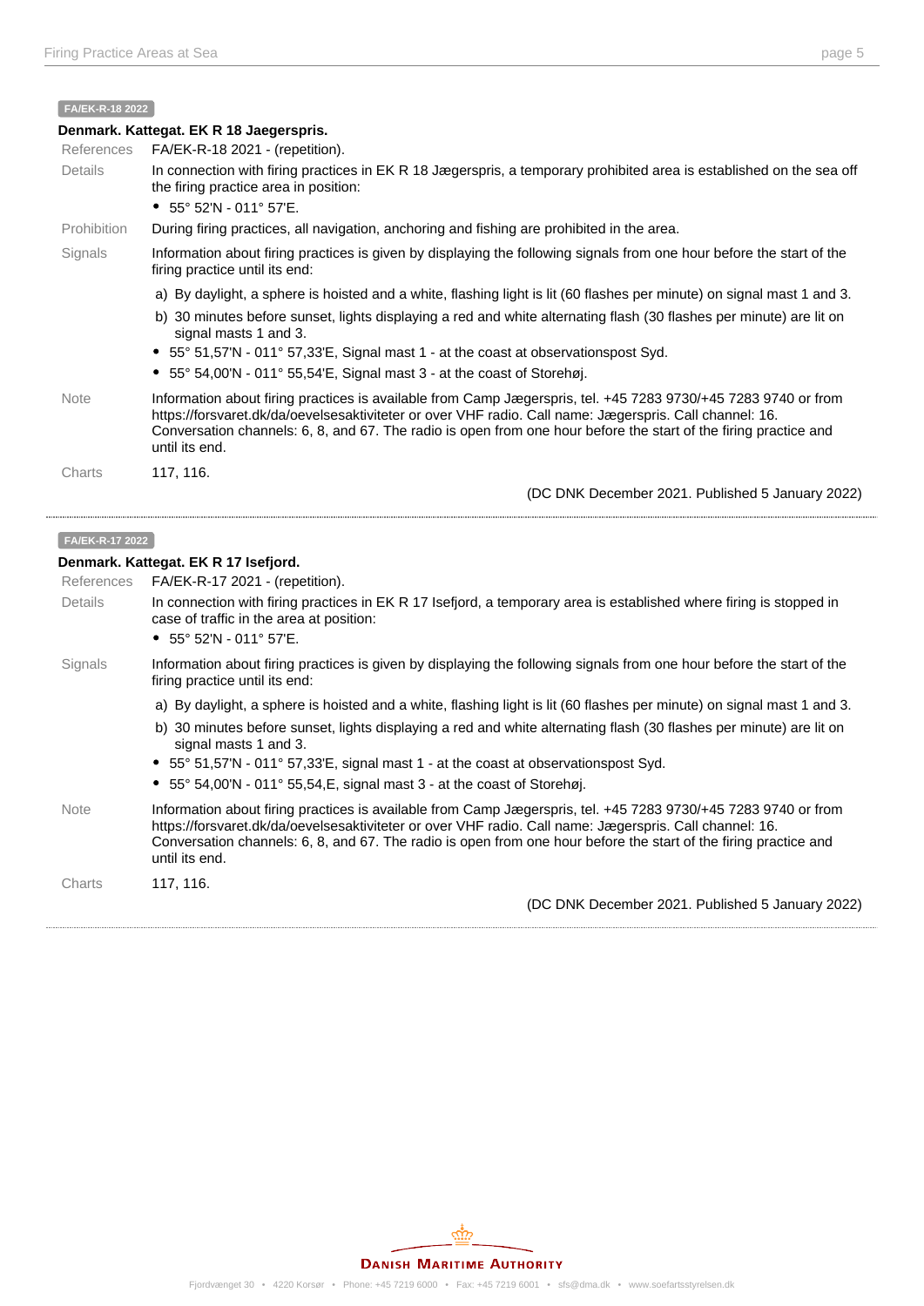#### **FA/EK-R-18 2022**

| Denmark. Kattegat. EK R 18 Jaegerspris. |                                                                                                                                                                                                                                                                                                                                                                 |  |
|-----------------------------------------|-----------------------------------------------------------------------------------------------------------------------------------------------------------------------------------------------------------------------------------------------------------------------------------------------------------------------------------------------------------------|--|
| References                              | FA/EK-R-18 2021 - (repetition).                                                                                                                                                                                                                                                                                                                                 |  |
| <b>Details</b>                          | In connection with firing practices in EK R 18 Jægerspris, a temporary prohibited area is established on the sea off<br>the firing practice area in position:                                                                                                                                                                                                   |  |
|                                         | • $55^{\circ}$ 52'N - 011° 57'E.                                                                                                                                                                                                                                                                                                                                |  |
| Prohibition                             | During firing practices, all navigation, anchoring and fishing are prohibited in the area.                                                                                                                                                                                                                                                                      |  |
| Signals                                 | Information about firing practices is given by displaying the following signals from one hour before the start of the<br>firing practice until its end:                                                                                                                                                                                                         |  |
|                                         | a) By daylight, a sphere is hoisted and a white, flashing light is lit (60 flashes per minute) on signal mast 1 and 3.                                                                                                                                                                                                                                          |  |
|                                         | b) 30 minutes before sunset, lights displaying a red and white alternating flash (30 flashes per minute) are lit on<br>signal masts 1 and 3.                                                                                                                                                                                                                    |  |
|                                         | • 55° 51,57'N - 011° 57,33'E, Signal mast 1 - at the coast at observationspost Syd.                                                                                                                                                                                                                                                                             |  |
|                                         | $55^{\circ}$ 54,00'N - 011° 55,54'E, Signal mast 3 - at the coast of Storehøj.                                                                                                                                                                                                                                                                                  |  |
| <b>Note</b>                             | Information about firing practices is available from Camp Jægerspris, tel. +45 7283 9730/+45 7283 9740 or from<br>https://forsvaret.dk/da/oevelsesaktiviteter or over VHF radio. Call name: Jægerspris. Call channel: 16.<br>Conversation channels: 6, 8, and 67. The radio is open from one hour before the start of the firing practice and<br>until its end. |  |
| Charts                                  | 117, 116.                                                                                                                                                                                                                                                                                                                                                       |  |
|                                         | (DC DNK December 2021. Published 5 January 2022)                                                                                                                                                                                                                                                                                                                |  |

#### **FA/EK-R-17 2022**

#### **Denmark. Kattegat. EK R 17 Isefjord.**

| <b>References</b> | FA/EK-R-17 2021 - (repetition).                                                                                                                                                                                                                                                                                                                                 |
|-------------------|-----------------------------------------------------------------------------------------------------------------------------------------------------------------------------------------------------------------------------------------------------------------------------------------------------------------------------------------------------------------|
| Details           | In connection with firing practices in EK R 17 Isefjord, a temporary area is established where firing is stopped in<br>case of traffic in the area at position:<br>• $55^{\circ}$ 52'N - 011° 57'E.                                                                                                                                                             |
| Signals           | Information about firing practices is given by displaying the following signals from one hour before the start of the<br>firing practice until its end:                                                                                                                                                                                                         |
|                   | a) By daylight, a sphere is hoisted and a white, flashing light is lit (60 flashes per minute) on signal mast 1 and 3.                                                                                                                                                                                                                                          |
|                   | b) 30 minutes before sunset, lights displaying a red and white alternating flash (30 flashes per minute) are lit on<br>signal masts 1 and 3.                                                                                                                                                                                                                    |
|                   | • 55° 51,57'N - 011° 57,33'E, signal mast 1 - at the coast at observationspost Syd.                                                                                                                                                                                                                                                                             |
|                   | • 55° 54,00'N - 011° 55,54, E, signal mast 3 - at the coast of Storehøj.                                                                                                                                                                                                                                                                                        |
| <b>Note</b>       | Information about firing practices is available from Camp Jægerspris, tel. +45 7283 9730/+45 7283 9740 or from<br>https://forsvaret.dk/da/oevelsesaktiviteter or over VHF radio. Call name: Jægerspris. Call channel: 16.<br>Conversation channels: 6, 8, and 67. The radio is open from one hour before the start of the firing practice and<br>until its end. |
| Charts            | 117, 116.                                                                                                                                                                                                                                                                                                                                                       |
|                   | (DC DNK December 2021. Published 5 January 2022)                                                                                                                                                                                                                                                                                                                |
|                   |                                                                                                                                                                                                                                                                                                                                                                 |

Fjordvænget 30 • 4220 Korsør • Phone: +45 7219 6000 • Fax: +45 7219 6001 • sfs@dma.dk • www.soefartsstyrelsen.dk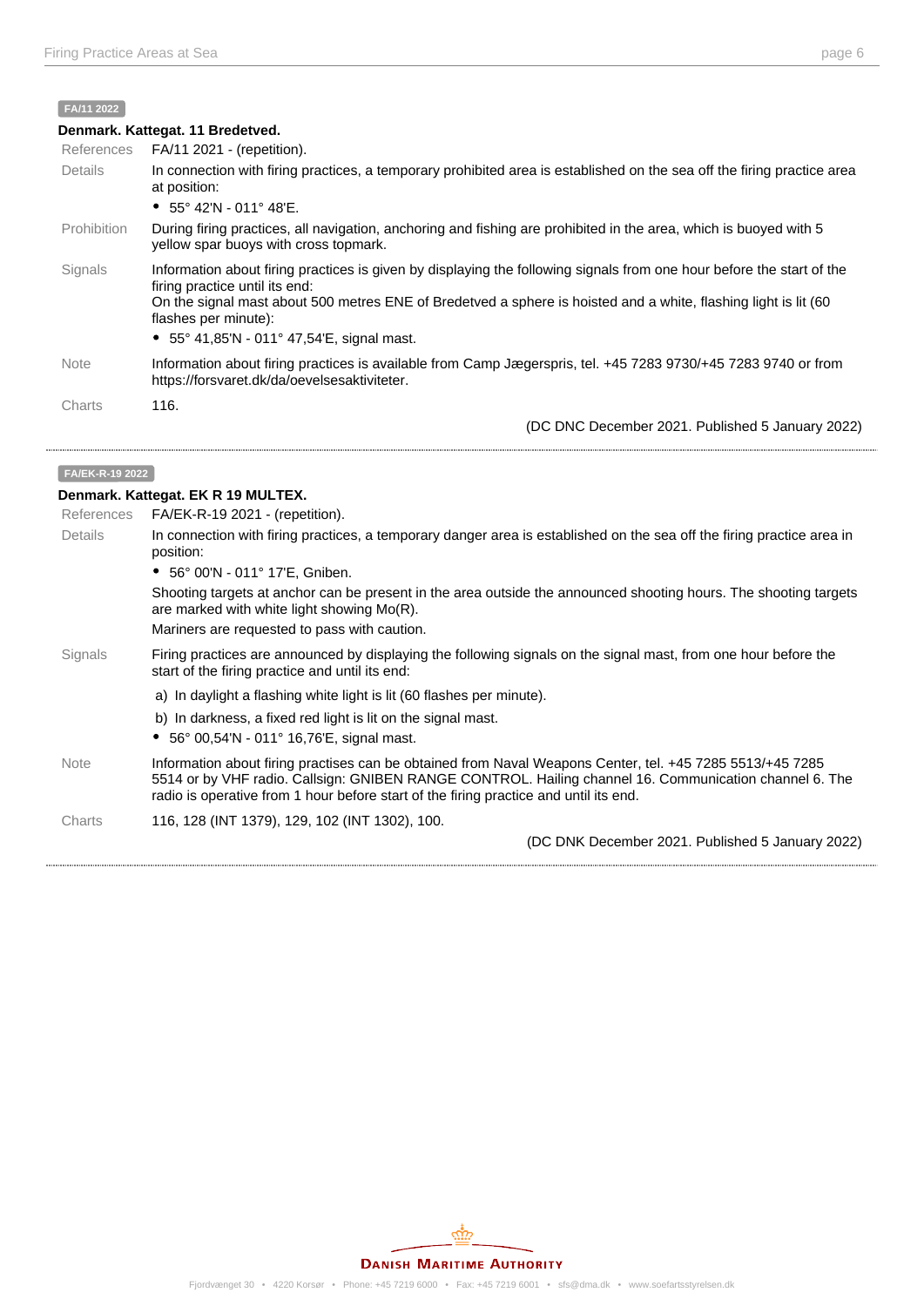# **FA/11 2022**

| Denmark. Kattegat. 11 Bredetved. |                                                                                                                                                                                                                                                                                                                                                           |  |
|----------------------------------|-----------------------------------------------------------------------------------------------------------------------------------------------------------------------------------------------------------------------------------------------------------------------------------------------------------------------------------------------------------|--|
| References                       | FA/11 2021 - (repetition).                                                                                                                                                                                                                                                                                                                                |  |
| Details                          | In connection with firing practices, a temporary prohibited area is established on the sea off the firing practice area<br>at position:                                                                                                                                                                                                                   |  |
|                                  | • $55^{\circ}$ 42'N - 011° 48'E.                                                                                                                                                                                                                                                                                                                          |  |
| <b>Prohibition</b>               | During firing practices, all navigation, anchoring and fishing are prohibited in the area, which is buoyed with 5<br>yellow spar buoys with cross topmark.                                                                                                                                                                                                |  |
| Signals                          | Information about firing practices is given by displaying the following signals from one hour before the start of the<br>firing practice until its end:<br>On the signal mast about 500 metres ENE of Bredetved a sphere is hoisted and a white, flashing light is lit (60<br>flashes per minute):<br>• $55^{\circ}$ 41,85'N - 011° 47,54'E, signal mast. |  |
|                                  |                                                                                                                                                                                                                                                                                                                                                           |  |
| <b>Note</b>                      | Information about firing practices is available from Camp Jægerspris, tel. +45 7283 9730/+45 7283 9740 or from<br>https://forsvaret.dk/da/oevelsesaktiviteter.                                                                                                                                                                                            |  |
| Charts                           | 116.                                                                                                                                                                                                                                                                                                                                                      |  |
|                                  | (DC DNC December 2021. Published 5 January 2022)                                                                                                                                                                                                                                                                                                          |  |

#### **FA/EK-R-19 2022**

# **Denmark. Kattegat. EK R 19 MULTEX.**

| <b>References</b> | $FA/EK-R-19 2021 - (repetition).$                                                                                                                                                                                                                                                                            |
|-------------------|--------------------------------------------------------------------------------------------------------------------------------------------------------------------------------------------------------------------------------------------------------------------------------------------------------------|
| <b>Details</b>    | In connection with firing practices, a temporary danger area is established on the sea off the firing practice area in<br>position:                                                                                                                                                                          |
|                   | • 56° 00'N - 011° 17'E, Gniben.                                                                                                                                                                                                                                                                              |
|                   | Shooting targets at anchor can be present in the area outside the announced shooting hours. The shooting targets<br>are marked with white light showing $Mo(R)$ .                                                                                                                                            |
|                   | Mariners are requested to pass with caution.                                                                                                                                                                                                                                                                 |
| Signals           | Firing practices are announced by displaying the following signals on the signal mast, from one hour before the<br>start of the firing practice and until its end:                                                                                                                                           |
|                   | a) In daylight a flashing white light is lit (60 flashes per minute).                                                                                                                                                                                                                                        |
|                   | b) In darkness, a fixed red light is lit on the signal mast.                                                                                                                                                                                                                                                 |
|                   | • $56^{\circ}$ 00,54'N - 011° 16,76'E, signal mast.                                                                                                                                                                                                                                                          |
| <b>Note</b>       | Information about firing practises can be obtained from Naval Weapons Center, tel. +45 7285 5513/+45 7285<br>5514 or by VHF radio. Callsign: GNIBEN RANGE CONTROL. Hailing channel 16. Communication channel 6. The<br>radio is operative from 1 hour before start of the firing practice and until its end. |
| Charts            | 116, 128 (INT 1379), 129, 102 (INT 1302), 100.                                                                                                                                                                                                                                                               |
|                   | (DC DNK December 2021. Published 5 January 2022)                                                                                                                                                                                                                                                             |

## **DANISH MARITIME AUTHORITY**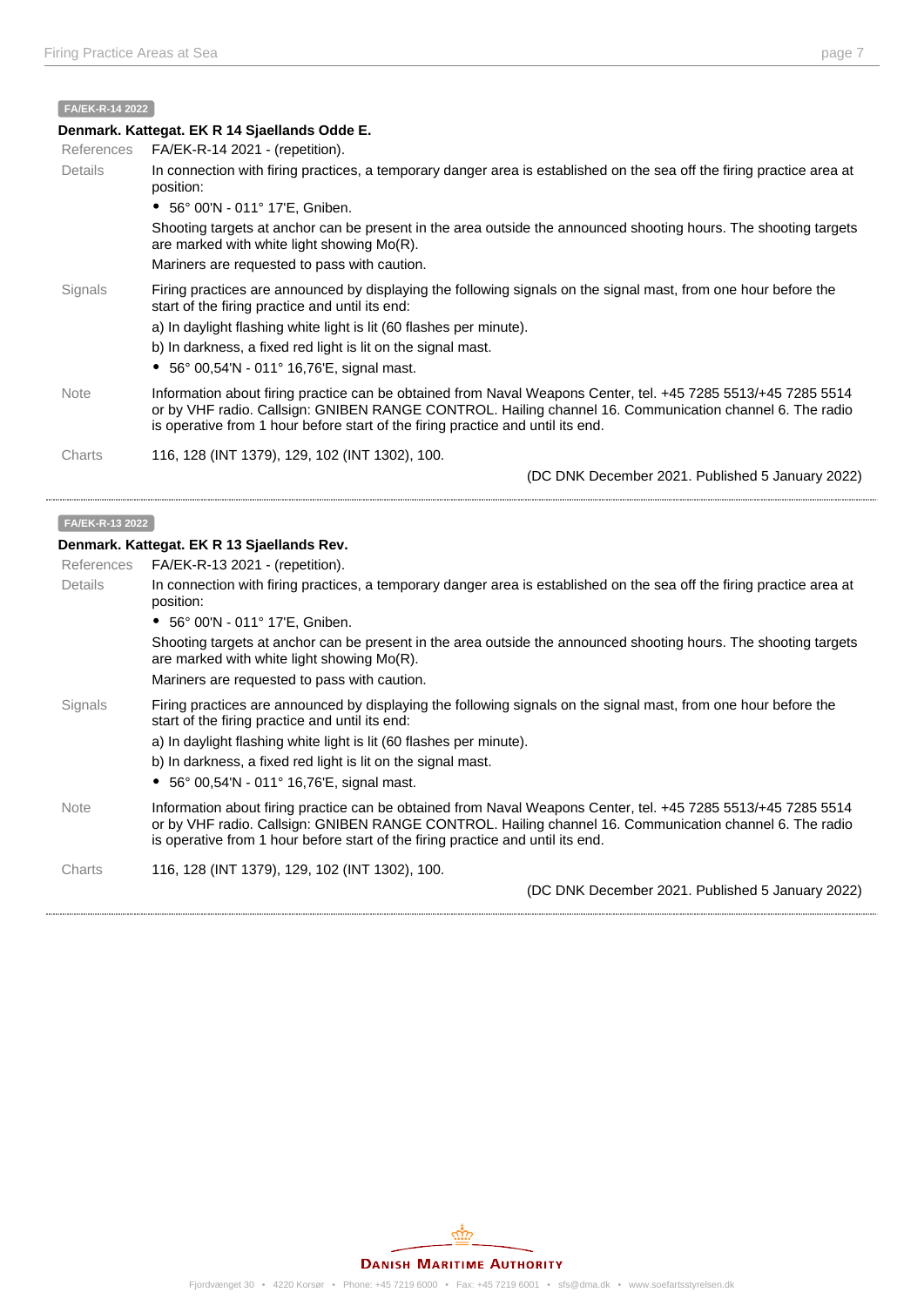## **Denmark. Kattegat. EK R 14 Sjaellands Odde E.**

| References  | $FA/EK-R-142021 - (repetition).$                                                                                                                                                                                                                                                                                                                                 |
|-------------|------------------------------------------------------------------------------------------------------------------------------------------------------------------------------------------------------------------------------------------------------------------------------------------------------------------------------------------------------------------|
| Details     | In connection with firing practices, a temporary danger area is established on the sea off the firing practice area at<br>position:                                                                                                                                                                                                                              |
|             | • 56° 00'N - 011° 17'E, Gniben.                                                                                                                                                                                                                                                                                                                                  |
|             | Shooting targets at anchor can be present in the area outside the announced shooting hours. The shooting targets<br>are marked with white light showing Mo(R).                                                                                                                                                                                                   |
|             | Mariners are requested to pass with caution.                                                                                                                                                                                                                                                                                                                     |
| Signals     | Firing practices are announced by displaying the following signals on the signal mast, from one hour before the<br>start of the firing practice and until its end:<br>a) In daylight flashing white light is lit (60 flashes per minute).<br>b) In darkness, a fixed red light is lit on the signal mast.<br>• $56^{\circ}$ 00,54'N - 011° 16,76'E, signal mast. |
| <b>Note</b> | Information about firing practice can be obtained from Naval Weapons Center, tel. +45 7285 5513/+45 7285 5514                                                                                                                                                                                                                                                    |
|             | or by VHF radio. Callsign: GNIBEN RANGE CONTROL. Hailing channel 16. Communication channel 6. The radio<br>is operative from 1 hour before start of the firing practice and until its end.                                                                                                                                                                       |
| Charts      | 116, 128 (INT 1379), 129, 102 (INT 1302), 100.                                                                                                                                                                                                                                                                                                                   |
|             | (DC DNK December 2021. Published 5 January 2022)                                                                                                                                                                                                                                                                                                                 |

#### **FA/EK-R-13 2022**

#### **Denmark. Kattegat. EK R 13 Sjaellands Rev.**

| 1 IULIUI UUGO | $1$ $\sim$ $1$ $\sim$ $1$ $\sim$ $20$ $\sim$ $1$ $\sim$ $1$ $\sim$ $0$ $\sim$ $0$ $\sim$ $1$                                                                                                                                                                                                                |
|---------------|-------------------------------------------------------------------------------------------------------------------------------------------------------------------------------------------------------------------------------------------------------------------------------------------------------------|
| Details       | In connection with firing practices, a temporary danger area is established on the sea off the firing practice area at<br>position:                                                                                                                                                                         |
|               | • 56° 00'N - 011° 17'E, Gniben.                                                                                                                                                                                                                                                                             |
|               | Shooting targets at anchor can be present in the area outside the announced shooting hours. The shooting targets<br>are marked with white light showing Mo(R).                                                                                                                                              |
|               | Mariners are requested to pass with caution.                                                                                                                                                                                                                                                                |
| Signals       | Firing practices are announced by displaying the following signals on the signal mast, from one hour before the<br>start of the firing practice and until its end:                                                                                                                                          |
|               | a) In daylight flashing white light is lit (60 flashes per minute).                                                                                                                                                                                                                                         |
|               | b) In darkness, a fixed red light is lit on the signal mast.                                                                                                                                                                                                                                                |
|               | • $56^{\circ}$ 00.54'N - 011° 16.76'E, signal mast.                                                                                                                                                                                                                                                         |
| <b>Note</b>   | Information about firing practice can be obtained from Naval Weapons Center, tel. +45 7285 5513/+45 7285 5514<br>or by VHF radio. Callsign: GNIBEN RANGE CONTROL. Hailing channel 16. Communication channel 6. The radio<br>is operative from 1 hour before start of the firing practice and until its end. |
| Charts        | 116, 128 (INT 1379), 129, 102 (INT 1302), 100.                                                                                                                                                                                                                                                              |
|               | (DC DNK December 2021. Published 5 January 2022)                                                                                                                                                                                                                                                            |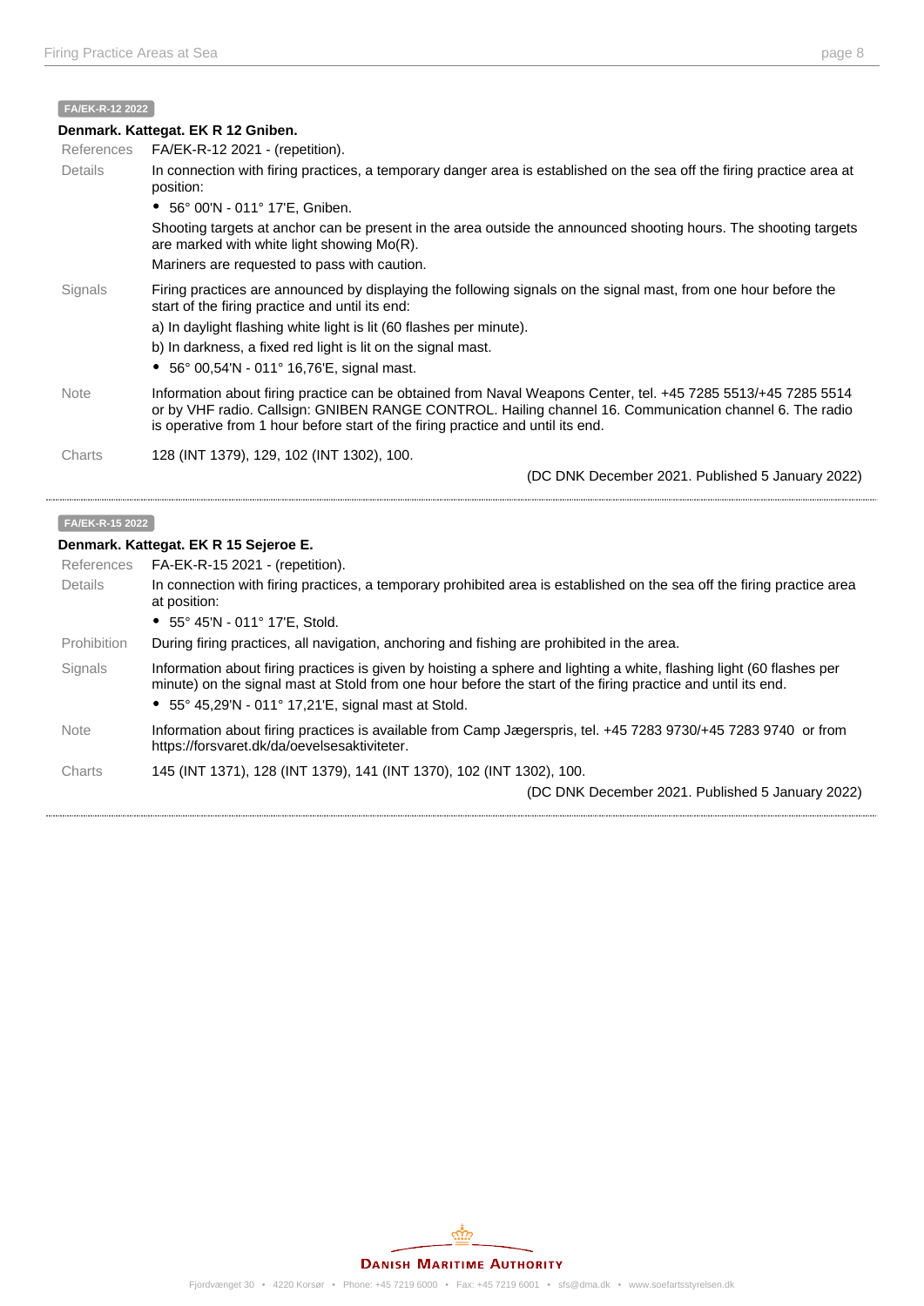#### **FA/EK-R-12 2022**

|             | Denmark. Kattegat. EK R 12 Gniben.                                                                                                                                                                                                                                                                          |
|-------------|-------------------------------------------------------------------------------------------------------------------------------------------------------------------------------------------------------------------------------------------------------------------------------------------------------------|
| References  | FA/EK-R-12 2021 - (repetition).                                                                                                                                                                                                                                                                             |
| Details     | In connection with firing practices, a temporary danger area is established on the sea off the firing practice area at<br>position:                                                                                                                                                                         |
|             | • 56° 00'N - 011° 17'E, Gniben.                                                                                                                                                                                                                                                                             |
|             | Shooting targets at anchor can be present in the area outside the announced shooting hours. The shooting targets<br>are marked with white light showing $Mo(R)$ .                                                                                                                                           |
|             | Mariners are requested to pass with caution.                                                                                                                                                                                                                                                                |
| Signals     | Firing practices are announced by displaying the following signals on the signal mast, from one hour before the<br>start of the firing practice and until its end:                                                                                                                                          |
|             | a) In daylight flashing white light is lit (60 flashes per minute).                                                                                                                                                                                                                                         |
|             | b) In darkness, a fixed red light is lit on the signal mast.                                                                                                                                                                                                                                                |
|             | • 56° 00,54'N - 011° 16,76'E, signal mast.                                                                                                                                                                                                                                                                  |
| <b>Note</b> | Information about firing practice can be obtained from Naval Weapons Center, tel. +45 7285 5513/+45 7285 5514<br>or by VHF radio. Callsign: GNIBEN RANGE CONTROL. Hailing channel 16. Communication channel 6. The radio<br>is operative from 1 hour before start of the firing practice and until its end. |
| Charts      | 128 (INT 1379), 129, 102 (INT 1302), 100.                                                                                                                                                                                                                                                                   |

#### **FA/EK-R-15 2022**

#### **Denmark. Kattegat. EK R 15 Sejeroe E.**

| References  | FA-EK-R-15 2021 - (repetition).                                                                                                                                                                                                                                                                       |
|-------------|-------------------------------------------------------------------------------------------------------------------------------------------------------------------------------------------------------------------------------------------------------------------------------------------------------|
| Details     | In connection with firing practices, a temporary prohibited area is established on the sea off the firing practice area<br>at position:                                                                                                                                                               |
|             | • $55^{\circ}$ 45'N - 011° 17'E, Stold.                                                                                                                                                                                                                                                               |
| Prohibition | During firing practices, all navigation, anchoring and fishing are prohibited in the area.                                                                                                                                                                                                            |
| Signals     | Information about firing practices is given by hoisting a sphere and lighting a white, flashing light (60 flashes per<br>minute) on the signal mast at Stold from one hour before the start of the firing practice and until its end.<br>• $55^{\circ}$ 45,29'N - 011° 17,21'E, signal mast at Stold. |
| <b>Note</b> | Information about firing practices is available from Camp Jægerspris, tel. +45 7283 9730/+45 7283 9740 or from<br>https://forsvaret.dk/da/oevelsesaktiviteter.                                                                                                                                        |
| Charts      | 145 (INT 1371), 128 (INT 1379), 141 (INT 1370), 102 (INT 1302), 100.<br>(DC DNK December 2021. Published 5 January 2022)                                                                                                                                                                              |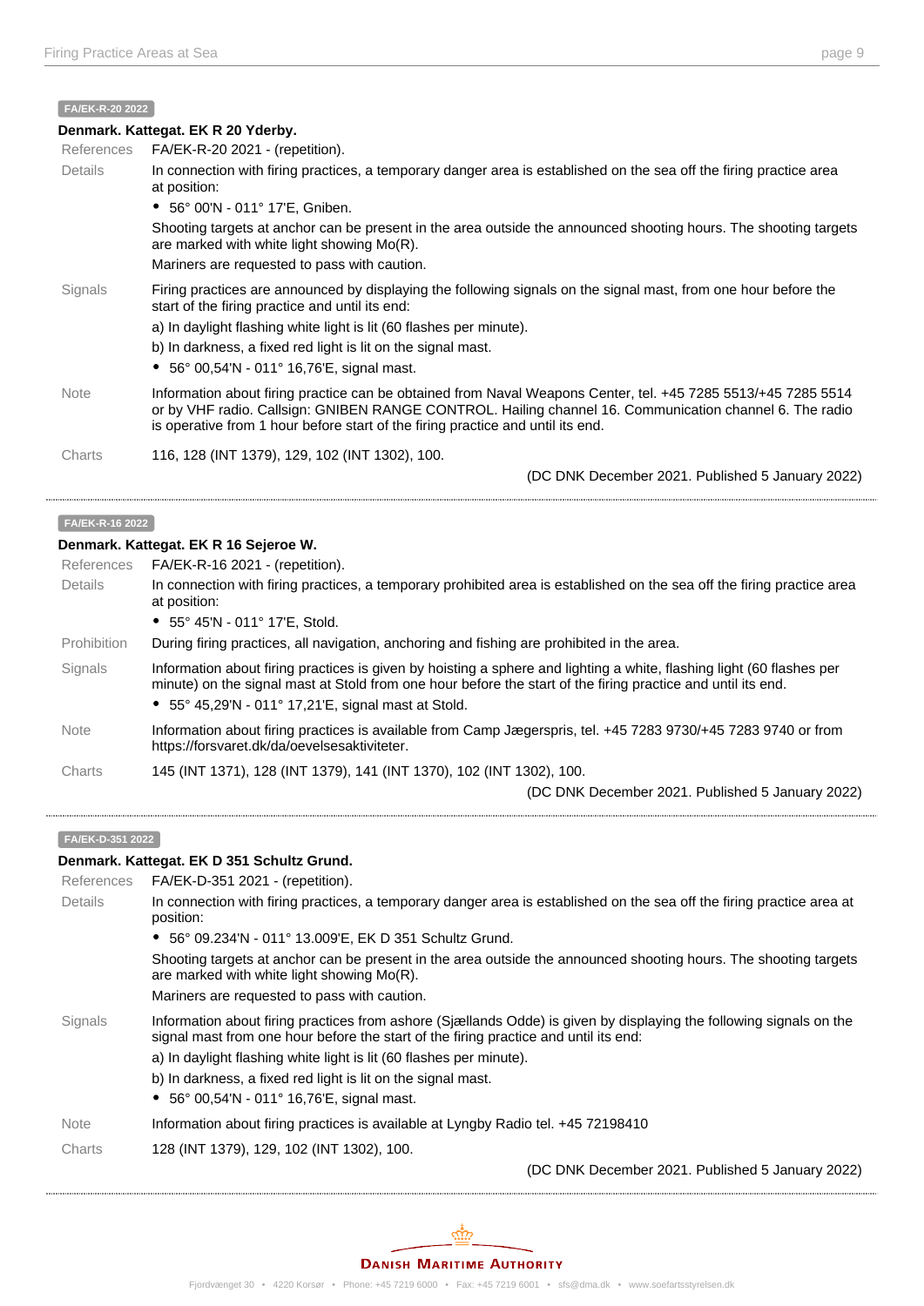#### **FA/EK-R-20 2022**

|                | Denmark. Kattegat. EK R 20 Yderby.                                                                                                                                                                                                                                                                          |
|----------------|-------------------------------------------------------------------------------------------------------------------------------------------------------------------------------------------------------------------------------------------------------------------------------------------------------------|
| References     | FA/EK-R-20 2021 - (repetition).                                                                                                                                                                                                                                                                             |
| <b>Details</b> | In connection with firing practices, a temporary danger area is established on the sea off the firing practice area<br>at position:                                                                                                                                                                         |
|                | • 56° 00'N - 011° 17'E, Gniben.                                                                                                                                                                                                                                                                             |
|                | Shooting targets at anchor can be present in the area outside the announced shooting hours. The shooting targets<br>are marked with white light showing $Mo(R)$ .                                                                                                                                           |
|                | Mariners are requested to pass with caution.                                                                                                                                                                                                                                                                |
| Signals        | Firing practices are announced by displaying the following signals on the signal mast, from one hour before the<br>start of the firing practice and until its end:                                                                                                                                          |
|                | a) In daylight flashing white light is lit (60 flashes per minute).                                                                                                                                                                                                                                         |
|                | b) In darkness, a fixed red light is lit on the signal mast.                                                                                                                                                                                                                                                |
|                | • $56^{\circ}$ 00,54'N - 011° 16,76'E, signal mast.                                                                                                                                                                                                                                                         |
| <b>Note</b>    | Information about firing practice can be obtained from Naval Weapons Center, tel. +45 7285 5513/+45 7285 5514<br>or by VHF radio. Callsign: GNIBEN RANGE CONTROL. Hailing channel 16. Communication channel 6. The radio<br>is operative from 1 hour before start of the firing practice and until its end. |
| Charts         | 116, 128 (INT 1379), 129, 102 (INT 1302), 100.                                                                                                                                                                                                                                                              |
|                | (DC DNK December 2021. Published 5 January 2022)                                                                                                                                                                                                                                                            |

#### **FA/EK-R-16 2022**

#### **Denmark. Kattegat. EK R 16 Sejeroe W.**

| References  | FA/EK-R-16 2021 - (repetition).                                                                                                                                                                                                                                                                       |
|-------------|-------------------------------------------------------------------------------------------------------------------------------------------------------------------------------------------------------------------------------------------------------------------------------------------------------|
| Details     | In connection with firing practices, a temporary prohibited area is established on the sea off the firing practice area<br>at position:                                                                                                                                                               |
|             | • $55^{\circ}$ 45'N - 011° 17'E, Stold.                                                                                                                                                                                                                                                               |
| Prohibition | During firing practices, all navigation, anchoring and fishing are prohibited in the area.                                                                                                                                                                                                            |
| Signals     | Information about firing practices is given by hoisting a sphere and lighting a white, flashing light (60 flashes per<br>minute) on the signal mast at Stold from one hour before the start of the firing practice and until its end.<br>• $55^{\circ}$ 45,29'N - 011° 17,21'E, signal mast at Stold. |
| <b>Note</b> | Information about firing practices is available from Camp Jægerspris, tel. +45 7283 9730/+45 7283 9740 or from<br>https://forsvaret.dk/da/oevelsesaktiviteter.                                                                                                                                        |
| Charts      | 145 (INT 1371), 128 (INT 1379), 141 (INT 1370), 102 (INT 1302), 100.                                                                                                                                                                                                                                  |
|             | (DC DNK December 2021. Published 5 January 2022)                                                                                                                                                                                                                                                      |

#### **FA/EK-D-351 2022**

#### **Denmark. Kattegat. EK D 351 Schultz Grund.**

| References  | FA/EK-D-351 2021 - (repetition).                                                                                                                                                                            |
|-------------|-------------------------------------------------------------------------------------------------------------------------------------------------------------------------------------------------------------|
| Details     | In connection with firing practices, a temporary danger area is established on the sea off the firing practice area at<br>position:                                                                         |
|             | • 56° 09.234'N - 011° 13.009'E, EK D 351 Schultz Grund.                                                                                                                                                     |
|             | Shooting targets at anchor can be present in the area outside the announced shooting hours. The shooting targets<br>are marked with white light showing $Mo(R)$ .                                           |
|             | Mariners are requested to pass with caution.                                                                                                                                                                |
| Signals     | Information about firing practices from ashore (Siællands Odde) is given by displaying the following signals on the<br>signal mast from one hour before the start of the firing practice and until its end: |
|             | a) In daylight flashing white light is lit (60 flashes per minute).                                                                                                                                         |
|             | b) In darkness, a fixed red light is lit on the signal mast.                                                                                                                                                |
|             | • 56° 00,54'N - 011° 16,76'E, signal mast.                                                                                                                                                                  |
| <b>Note</b> | Information about firing practices is available at Lyngby Radio tel. +45 72198410                                                                                                                           |
| Charts      | 128 (INT 1379), 129, 102 (INT 1302), 100.                                                                                                                                                                   |
|             | (DC DNK December 2021. Published 5 January 2022)                                                                                                                                                            |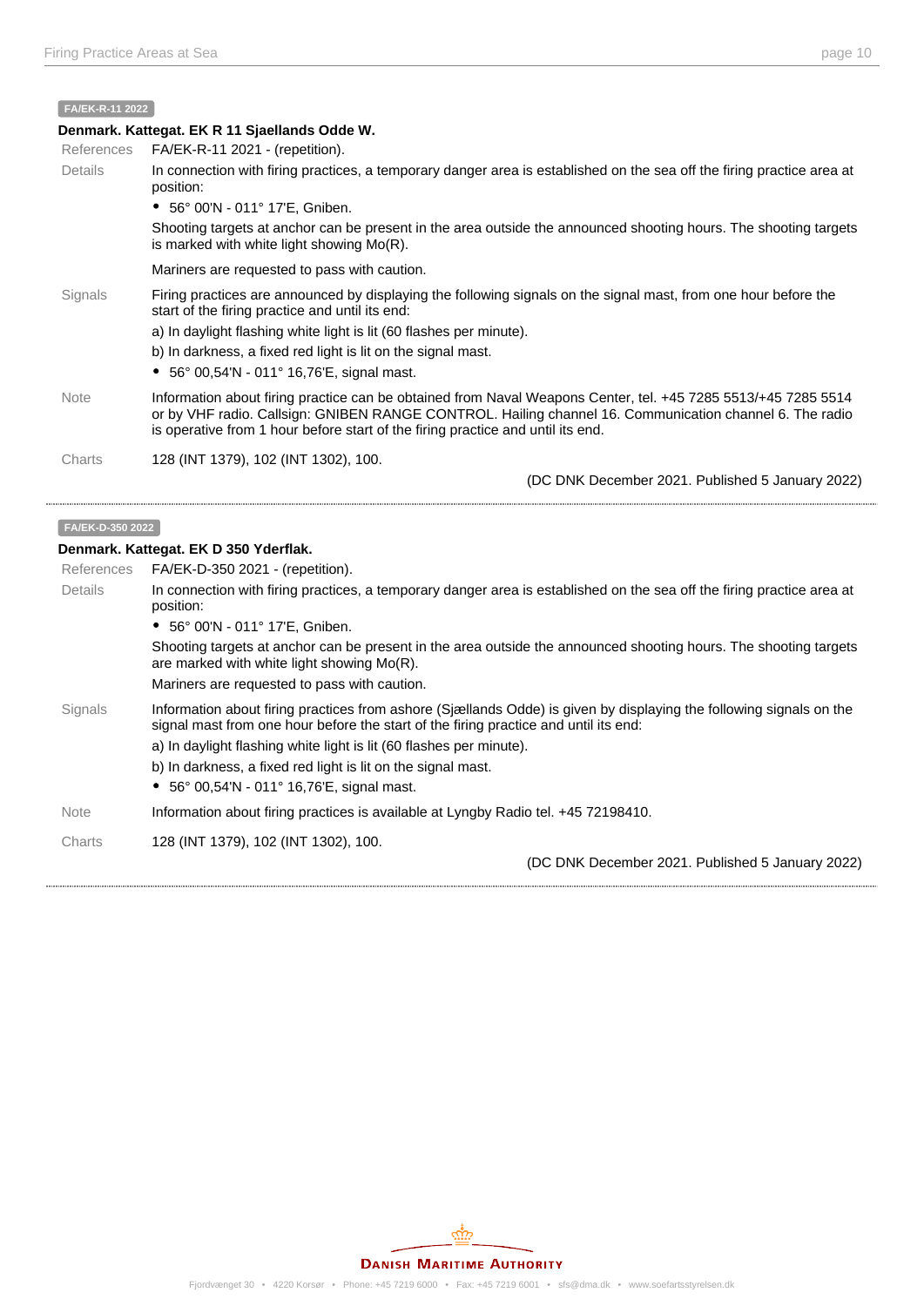#### **FA/EK-R-11 2022**

#### **Denmark. Kattegat. EK R 11 Sjaellands Odde W.**

| <b>References</b> | $FA/EK-R-11 2021 - (repetition).$                                                                                                                                                                                                                                                                                                                                |
|-------------------|------------------------------------------------------------------------------------------------------------------------------------------------------------------------------------------------------------------------------------------------------------------------------------------------------------------------------------------------------------------|
| Details           | In connection with firing practices, a temporary danger area is established on the sea off the firing practice area at<br>position:                                                                                                                                                                                                                              |
|                   | • 56° 00'N - 011° 17'E, Gniben.                                                                                                                                                                                                                                                                                                                                  |
|                   | Shooting targets at anchor can be present in the area outside the announced shooting hours. The shooting targets<br>is marked with white light showing $Mo(R)$ .                                                                                                                                                                                                 |
|                   | Mariners are requested to pass with caution.                                                                                                                                                                                                                                                                                                                     |
| Signals           | Firing practices are announced by displaying the following signals on the signal mast, from one hour before the<br>start of the firing practice and until its end:<br>a) In daylight flashing white light is lit (60 flashes per minute).<br>b) In darkness, a fixed red light is lit on the signal mast.<br>• $56^{\circ}$ 00,54'N - 011° 16,76'E, signal mast. |
| <b>Note</b>       | Information about firing practice can be obtained from Naval Weapons Center, tel. +45 7285 5513/+45 7285 5514<br>or by VHF radio. Callsign: GNIBEN RANGE CONTROL. Hailing channel 16. Communication channel 6. The radio<br>is operative from 1 hour before start of the firing practice and until its end.                                                      |
| Charts            | 128 (INT 1379), 102 (INT 1302), 100.                                                                                                                                                                                                                                                                                                                             |
|                   | (DC DNK December 2021. Published 5 January 2022)                                                                                                                                                                                                                                                                                                                 |

#### **FA/EK-D-350 2022**

#### **Denmark. Kattegat. EK D 350 Yderflak.**

| FA/EK-D-350 2021 - (repetition).<br>In connection with firing practices, a temporary danger area is established on the sea off the firing practice area at<br>position:                                                                                                                                                                                                                                   |
|-----------------------------------------------------------------------------------------------------------------------------------------------------------------------------------------------------------------------------------------------------------------------------------------------------------------------------------------------------------------------------------------------------------|
|                                                                                                                                                                                                                                                                                                                                                                                                           |
|                                                                                                                                                                                                                                                                                                                                                                                                           |
| • 56° 00'N - 011° 17'E, Gniben.                                                                                                                                                                                                                                                                                                                                                                           |
| Shooting targets at anchor can be present in the area outside the announced shooting hours. The shooting targets<br>are marked with white light showing $Mo(R)$ .                                                                                                                                                                                                                                         |
| Mariners are requested to pass with caution.                                                                                                                                                                                                                                                                                                                                                              |
| Information about firing practices from ashore (Sjællands Odde) is given by displaying the following signals on the<br>signal mast from one hour before the start of the firing practice and until its end:<br>a) In daylight flashing white light is lit (60 flashes per minute).<br>b) In darkness, a fixed red light is lit on the signal mast.<br>• $56^{\circ}$ 00,54'N - 011° 16,76'E, signal mast. |
| Information about firing practices is available at Lyngby Radio tel. +45 72198410.                                                                                                                                                                                                                                                                                                                        |
| 128 (INT 1379), 102 (INT 1302), 100.<br>(DC DNK December 2021. Published 5 January 2022)                                                                                                                                                                                                                                                                                                                  |
|                                                                                                                                                                                                                                                                                                                                                                                                           |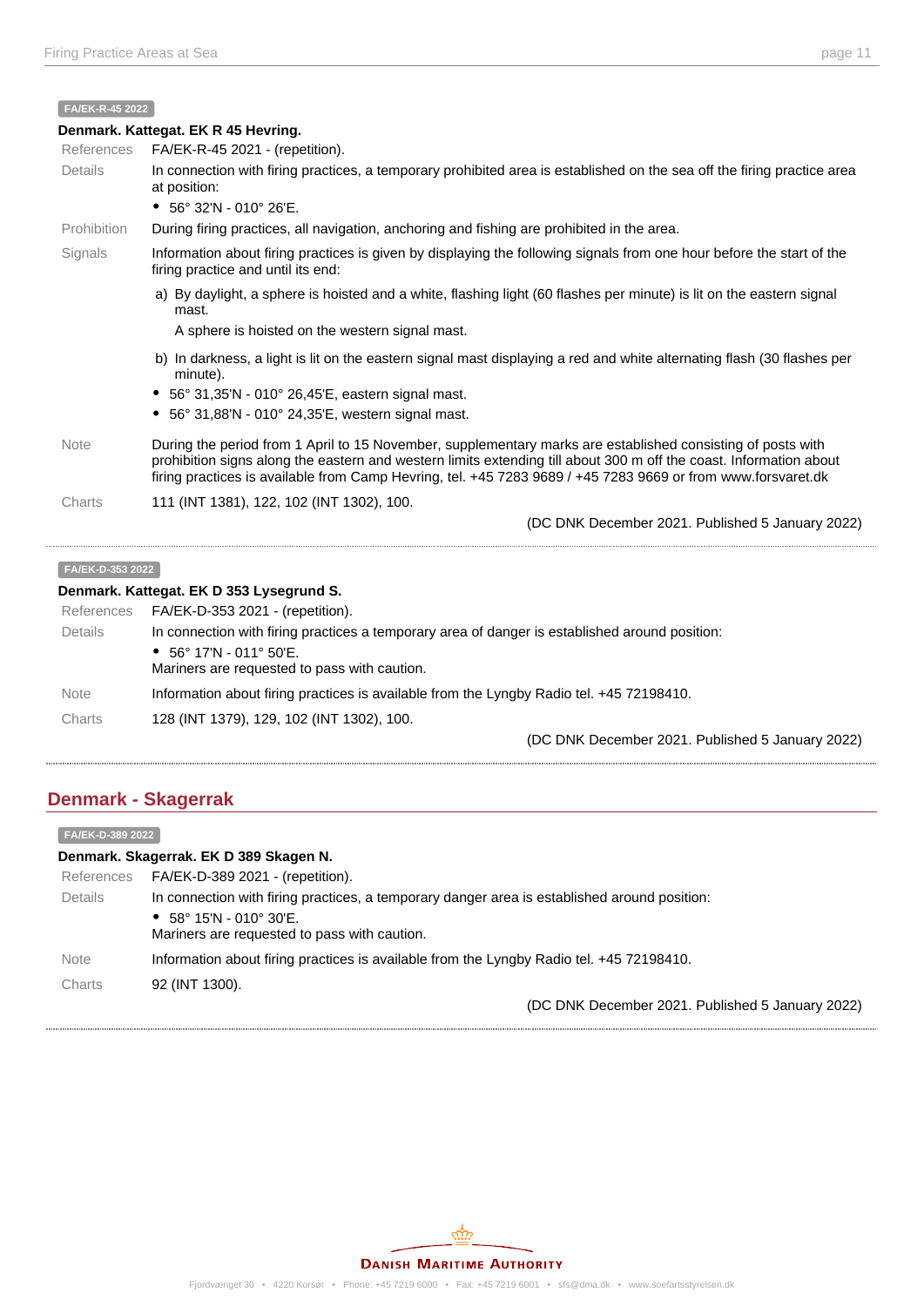#### **FA/EK-R-45 2022**

|             | Denmark. Kattegat. EK R 45 Hevring.                                                                                                                                                                                                                                                                                                               |
|-------------|---------------------------------------------------------------------------------------------------------------------------------------------------------------------------------------------------------------------------------------------------------------------------------------------------------------------------------------------------|
| References  | FA/EK-R-45 2021 - (repetition).                                                                                                                                                                                                                                                                                                                   |
| Details     | In connection with firing practices, a temporary prohibited area is established on the sea off the firing practice area<br>at position:                                                                                                                                                                                                           |
|             | • $56^{\circ}$ 32'N - 010° 26'E.                                                                                                                                                                                                                                                                                                                  |
| Prohibition | During firing practices, all navigation, anchoring and fishing are prohibited in the area.                                                                                                                                                                                                                                                        |
| Signals     | Information about firing practices is given by displaying the following signals from one hour before the start of the<br>firing practice and until its end:                                                                                                                                                                                       |
|             | a) By daylight, a sphere is hoisted and a white, flashing light (60 flashes per minute) is lit on the eastern signal<br>mast.                                                                                                                                                                                                                     |
|             | A sphere is hoisted on the western signal mast.                                                                                                                                                                                                                                                                                                   |
|             | b) In darkness, a light is lit on the eastern signal mast displaying a red and white alternating flash (30 flashes per<br>minute).                                                                                                                                                                                                                |
|             | • 56° 31,35'N - 010° 26,45'E, eastern signal mast.                                                                                                                                                                                                                                                                                                |
|             | 56° 31,88'N - 010° 24,35'E, western signal mast.                                                                                                                                                                                                                                                                                                  |
| <b>Note</b> | During the period from 1 April to 15 November, supplementary marks are established consisting of posts with<br>prohibition signs along the eastern and western limits extending till about 300 m off the coast. Information about<br>firing practices is available from Camp Hevring, tel. +45 7283 9689 / +45 7283 9669 or from www.forsvaret.dk |
| Charts      | 111 (INT 1381), 122, 102 (INT 1302), 100.                                                                                                                                                                                                                                                                                                         |
|             | (DC DNK December 2021. Published 5 January 2022)                                                                                                                                                                                                                                                                                                  |

#### **Denmark. Kattegat. EK D 353 Lysegrund S.**

| References  | FA/EK-D-353 2021 - (repetition).                                                               |
|-------------|------------------------------------------------------------------------------------------------|
| Details     | In connection with firing practices a temporary area of danger is established around position: |
|             | • $56^{\circ}$ 17'N - 011° 50'E.<br>Mariners are requested to pass with caution.               |
| <b>Note</b> | Information about firing practices is available from the Lyngby Radio tel. +45 72198410.       |
| Charts      | 128 (INT 1379), 129, 102 (INT 1302), 100.                                                      |
|             | (DC DNK December 2021. Published 5 January 2022)                                               |

# **Denmark - Skagerrak**

| FA/EK-D-389 2022                       |                                                                                              |  |  |
|----------------------------------------|----------------------------------------------------------------------------------------------|--|--|
| Denmark. Skagerrak. EK D 389 Skagen N. |                                                                                              |  |  |
| References                             | FA/EK-D-389 2021 - (repetition).                                                             |  |  |
| <b>Details</b>                         | In connection with firing practices, a temporary danger area is established around position: |  |  |
|                                        | • $58^{\circ}$ 15'N - 010° 30'E.                                                             |  |  |
|                                        | Mariners are requested to pass with caution.                                                 |  |  |
| <b>Note</b>                            | Information about firing practices is available from the Lyngby Radio tel. +45 72198410.     |  |  |
| Charts                                 | 92 (INT 1300).                                                                               |  |  |
|                                        | (DC DNK December 2021. Published 5 January 2022)                                             |  |  |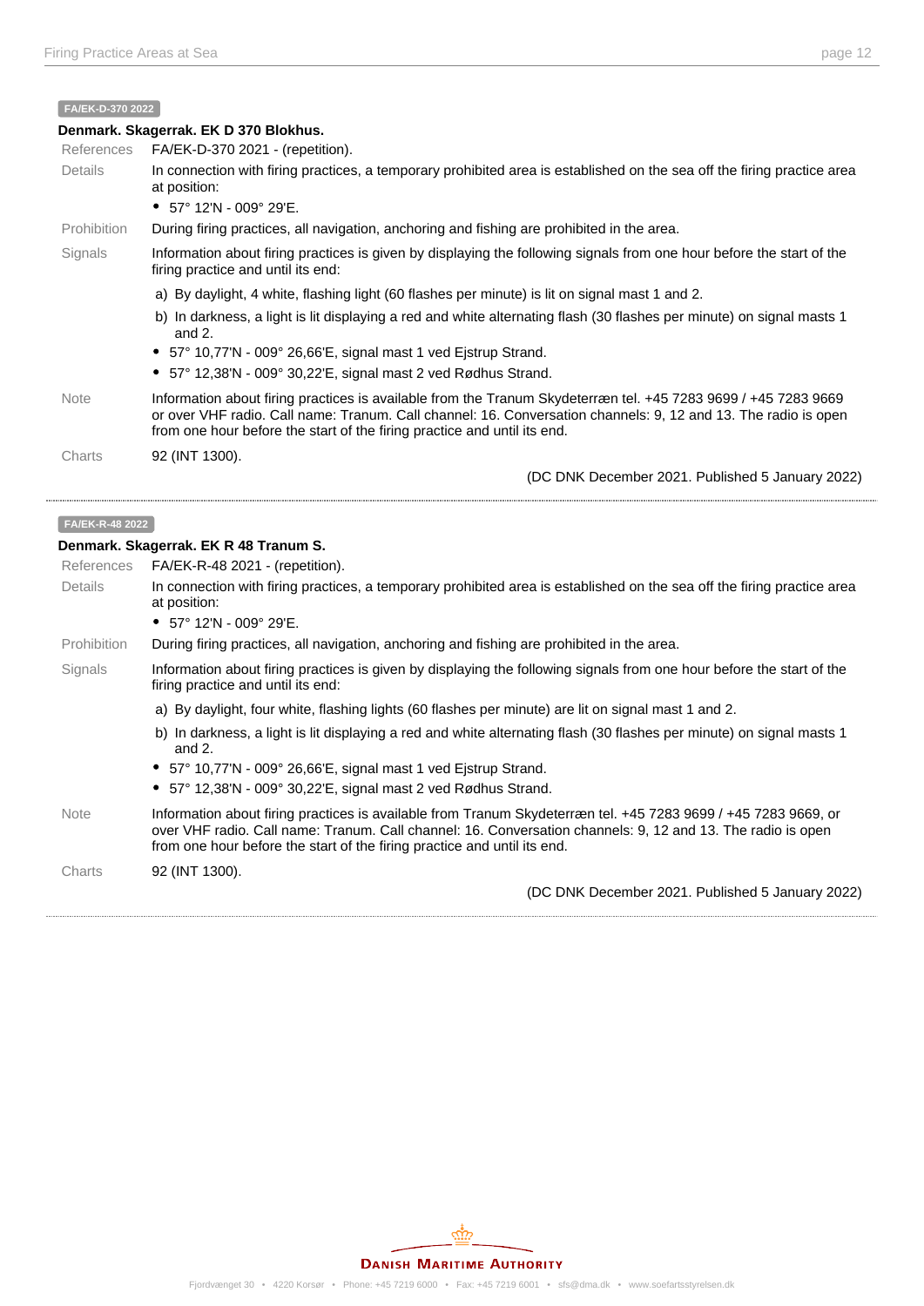#### **FA/EK-D-370 2022**

|                 | Denmark. Skagerrak. EK D 370 Blokhus.                                                                                                                                                                                                                                                                        |
|-----------------|--------------------------------------------------------------------------------------------------------------------------------------------------------------------------------------------------------------------------------------------------------------------------------------------------------------|
| References      | FA/EK-D-370 2021 - (repetition).                                                                                                                                                                                                                                                                             |
| <b>Details</b>  | In connection with firing practices, a temporary prohibited area is established on the sea off the firing practice area<br>at position:                                                                                                                                                                      |
|                 | • $57^{\circ}$ 12'N - 009° 29'E.                                                                                                                                                                                                                                                                             |
| Prohibition     | During firing practices, all navigation, anchoring and fishing are prohibited in the area.                                                                                                                                                                                                                   |
| Signals         | Information about firing practices is given by displaying the following signals from one hour before the start of the<br>firing practice and until its end:                                                                                                                                                  |
|                 | a) By daylight, 4 white, flashing light (60 flashes per minute) is lit on signal mast 1 and 2.                                                                                                                                                                                                               |
|                 | b) In darkness, a light is lit displaying a red and white alternating flash (30 flashes per minute) on signal masts 1<br>and $2.$                                                                                                                                                                            |
|                 | • 57° 10,77'N - 009° 26,66'E, signal mast 1 ved Ejstrup Strand.                                                                                                                                                                                                                                              |
|                 | • $57^{\circ}$ 12,38'N - 009° 30,22'E, signal mast 2 ved Rødhus Strand.                                                                                                                                                                                                                                      |
| Note            | Information about firing practices is available from the Tranum Skydeterræn tel. +45 7283 9699 / +45 7283 9669<br>or over VHF radio. Call name: Tranum. Call channel: 16. Conversation channels: 9, 12 and 13. The radio is open<br>from one hour before the start of the firing practice and until its end. |
| Charts          | 92 (INT 1300).                                                                                                                                                                                                                                                                                               |
|                 | (DC DNK December 2021. Published 5 January 2022)                                                                                                                                                                                                                                                             |
| FA/EK-R-48 2022 |                                                                                                                                                                                                                                                                                                              |

#### **Denmark. Skagerrak. EK R 48 Tranum S.**

| References  | FA/EK-R-48 2021 - (repetition).                                                                                                                                                                                                                                                                           |
|-------------|-----------------------------------------------------------------------------------------------------------------------------------------------------------------------------------------------------------------------------------------------------------------------------------------------------------|
| Details     | In connection with firing practices, a temporary prohibited area is established on the sea off the firing practice area<br>at position:                                                                                                                                                                   |
|             | • $57^{\circ}$ 12'N - 009° 29'E.                                                                                                                                                                                                                                                                          |
| Prohibition | During firing practices, all navigation, anchoring and fishing are prohibited in the area.                                                                                                                                                                                                                |
| Signals     | Information about firing practices is given by displaying the following signals from one hour before the start of the<br>firing practice and until its end:                                                                                                                                               |
|             | a) By daylight, four white, flashing lights (60 flashes per minute) are lit on signal mast 1 and 2.                                                                                                                                                                                                       |
|             | b) In darkness, a light is lit displaying a red and white alternating flash (30 flashes per minute) on signal masts 1<br>and $2.$                                                                                                                                                                         |
|             | • 57° 10,77'N - 009° 26,66'E, signal mast 1 ved Ejstrup Strand.                                                                                                                                                                                                                                           |
|             | $\bullet$ 57° 12,38'N - 009° 30,22'E, signal mast 2 ved Rødhus Strand.                                                                                                                                                                                                                                    |
| <b>Note</b> | Information about firing practices is available from Tranum Skydeterræn tel. +45 7283 9699 / +45 7283 9669, or<br>over VHF radio. Call name: Tranum. Call channel: 16. Conversation channels: 9, 12 and 13. The radio is open<br>from one hour before the start of the firing practice and until its end. |
| Charts      | 92 (INT 1300).                                                                                                                                                                                                                                                                                            |
|             | (DC DNK December 2021. Published 5 January 2022)                                                                                                                                                                                                                                                          |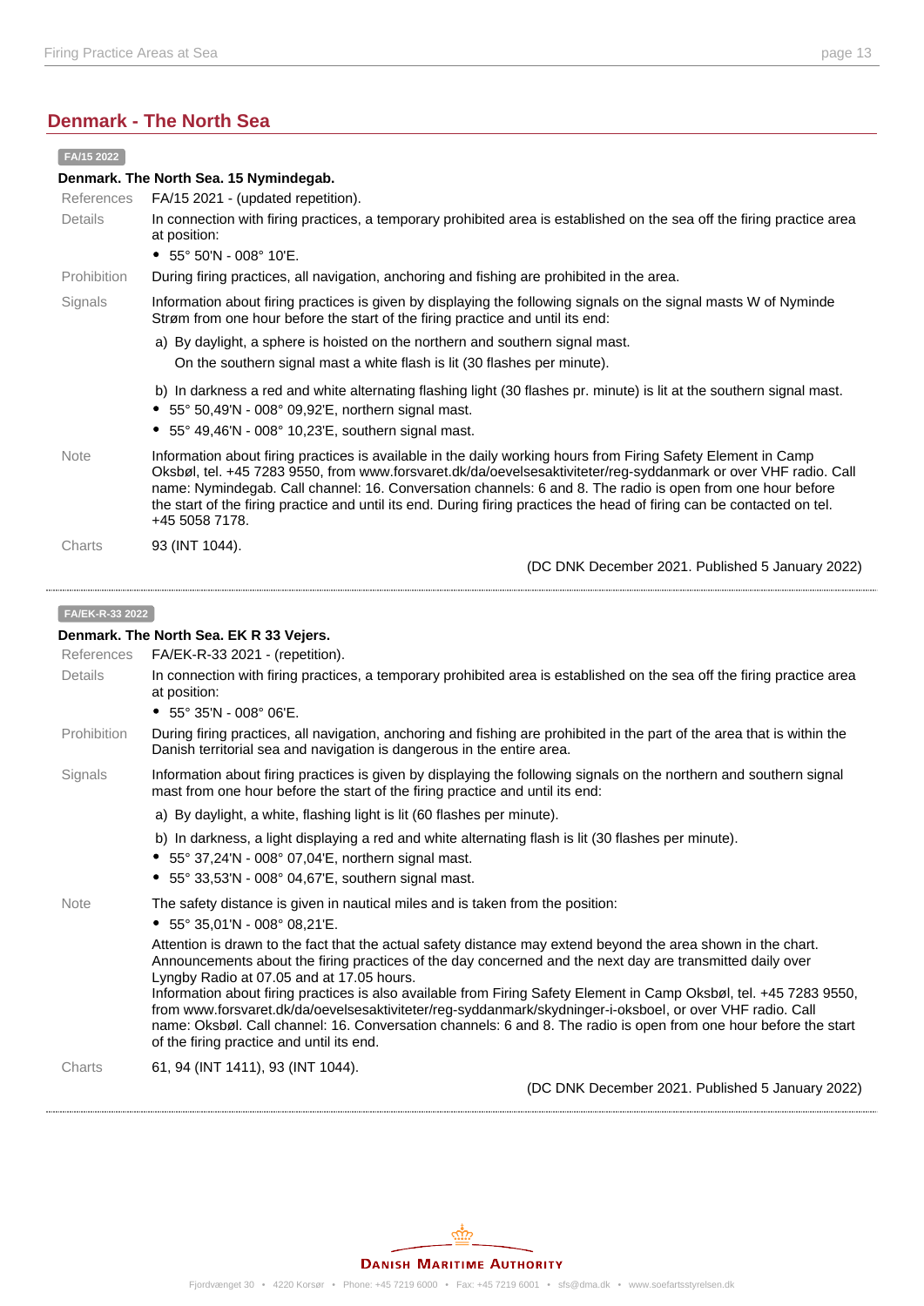# **Denmark - The North Sea**

| FA/15 2022                             |                                                                                                                                                                                                                                                                                                                                                                                                                                                                                                                                                                                                                                                                              |  |  |
|----------------------------------------|------------------------------------------------------------------------------------------------------------------------------------------------------------------------------------------------------------------------------------------------------------------------------------------------------------------------------------------------------------------------------------------------------------------------------------------------------------------------------------------------------------------------------------------------------------------------------------------------------------------------------------------------------------------------------|--|--|
| Denmark. The North Sea. 15 Nymindegab. |                                                                                                                                                                                                                                                                                                                                                                                                                                                                                                                                                                                                                                                                              |  |  |
| References                             | FA/15 2021 - (updated repetition).                                                                                                                                                                                                                                                                                                                                                                                                                                                                                                                                                                                                                                           |  |  |
| Details                                | In connection with firing practices, a temporary prohibited area is established on the sea off the firing practice area<br>at position:                                                                                                                                                                                                                                                                                                                                                                                                                                                                                                                                      |  |  |
|                                        | • $55^{\circ}$ 50'N - 008° 10'E.                                                                                                                                                                                                                                                                                                                                                                                                                                                                                                                                                                                                                                             |  |  |
| Prohibition                            | During firing practices, all navigation, anchoring and fishing are prohibited in the area.                                                                                                                                                                                                                                                                                                                                                                                                                                                                                                                                                                                   |  |  |
| Signals                                | Information about firing practices is given by displaying the following signals on the signal masts W of Nyminde<br>Strøm from one hour before the start of the firing practice and until its end:                                                                                                                                                                                                                                                                                                                                                                                                                                                                           |  |  |
|                                        | a) By daylight, a sphere is hoisted on the northern and southern signal mast.<br>On the southern signal mast a white flash is lit (30 flashes per minute).                                                                                                                                                                                                                                                                                                                                                                                                                                                                                                                   |  |  |
|                                        | b) In darkness a red and white alternating flashing light (30 flashes pr. minute) is lit at the southern signal mast.<br>• 55° 50,49'N - 008° 09,92'E, northern signal mast.<br>• 55° 49,46'N - 008° 10,23'E, southern signal mast.                                                                                                                                                                                                                                                                                                                                                                                                                                          |  |  |
| <b>Note</b>                            | Information about firing practices is available in the daily working hours from Firing Safety Element in Camp<br>Oksbøl, tel. +45 7283 9550, from www.forsvaret.dk/da/oevelsesaktiviteter/reg-syddanmark or over VHF radio. Call<br>name: Nymindegab. Call channel: 16. Conversation channels: 6 and 8. The radio is open from one hour before<br>the start of the firing practice and until its end. During firing practices the head of firing can be contacted on tel.<br>+45 5058 7178.                                                                                                                                                                                  |  |  |
| Charts                                 | 93 (INT 1044).                                                                                                                                                                                                                                                                                                                                                                                                                                                                                                                                                                                                                                                               |  |  |
|                                        | (DC DNK December 2021. Published 5 January 2022)                                                                                                                                                                                                                                                                                                                                                                                                                                                                                                                                                                                                                             |  |  |
| FA/EK-R-33 2022                        | Denmark. The North Sea. EK R 33 Vejers.                                                                                                                                                                                                                                                                                                                                                                                                                                                                                                                                                                                                                                      |  |  |
| References                             | FA/EK-R-33 2021 - (repetition).                                                                                                                                                                                                                                                                                                                                                                                                                                                                                                                                                                                                                                              |  |  |
| Details                                | In connection with firing practices, a temporary prohibited area is established on the sea off the firing practice area<br>at position:<br>• $55^{\circ}$ 35'N - 008° 06'E.                                                                                                                                                                                                                                                                                                                                                                                                                                                                                                  |  |  |
| Prohibition                            | During firing practices, all navigation, anchoring and fishing are prohibited in the part of the area that is within the<br>Danish territorial sea and navigation is dangerous in the entire area.                                                                                                                                                                                                                                                                                                                                                                                                                                                                           |  |  |
| Signals                                | Information about firing practices is given by displaying the following signals on the northern and southern signal<br>mast from one hour before the start of the firing practice and until its end:                                                                                                                                                                                                                                                                                                                                                                                                                                                                         |  |  |
|                                        | a) By daylight, a white, flashing light is lit (60 flashes per minute).                                                                                                                                                                                                                                                                                                                                                                                                                                                                                                                                                                                                      |  |  |
|                                        | b) In darkness, a light displaying a red and white alternating flash is lit (30 flashes per minute).<br>• 55° 37,24'N - 008° 07,04'E, northern signal mast.<br>$\bullet$ 55° 33,53'N - 008° 04,67'E, southern signal mast.                                                                                                                                                                                                                                                                                                                                                                                                                                                   |  |  |
| <b>Note</b>                            | The safety distance is given in nautical miles and is taken from the position:<br>• $55^{\circ}$ 35,01'N - 008° 08,21'E.                                                                                                                                                                                                                                                                                                                                                                                                                                                                                                                                                     |  |  |
|                                        | Attention is drawn to the fact that the actual safety distance may extend beyond the area shown in the chart.<br>Announcements about the firing practices of the day concerned and the next day are transmitted daily over<br>Lyngby Radio at 07.05 and at 17.05 hours.<br>Information about firing practices is also available from Firing Safety Element in Camp Oksbøl, tel. +45 7283 9550,<br>from www.forsvaret.dk/da/oevelsesaktiviteter/reg-syddanmark/skydninger-i-oksboel, or over VHF radio. Call<br>name: Oksbøl. Call channel: 16. Conversation channels: 6 and 8. The radio is open from one hour before the start<br>of the firing practice and until its end. |  |  |
| Charts                                 | 61, 94 (INT 1411), 93 (INT 1044).                                                                                                                                                                                                                                                                                                                                                                                                                                                                                                                                                                                                                                            |  |  |
|                                        | (DC DNK December 2021. Published 5 January 2022)                                                                                                                                                                                                                                                                                                                                                                                                                                                                                                                                                                                                                             |  |  |
|                                        |                                                                                                                                                                                                                                                                                                                                                                                                                                                                                                                                                                                                                                                                              |  |  |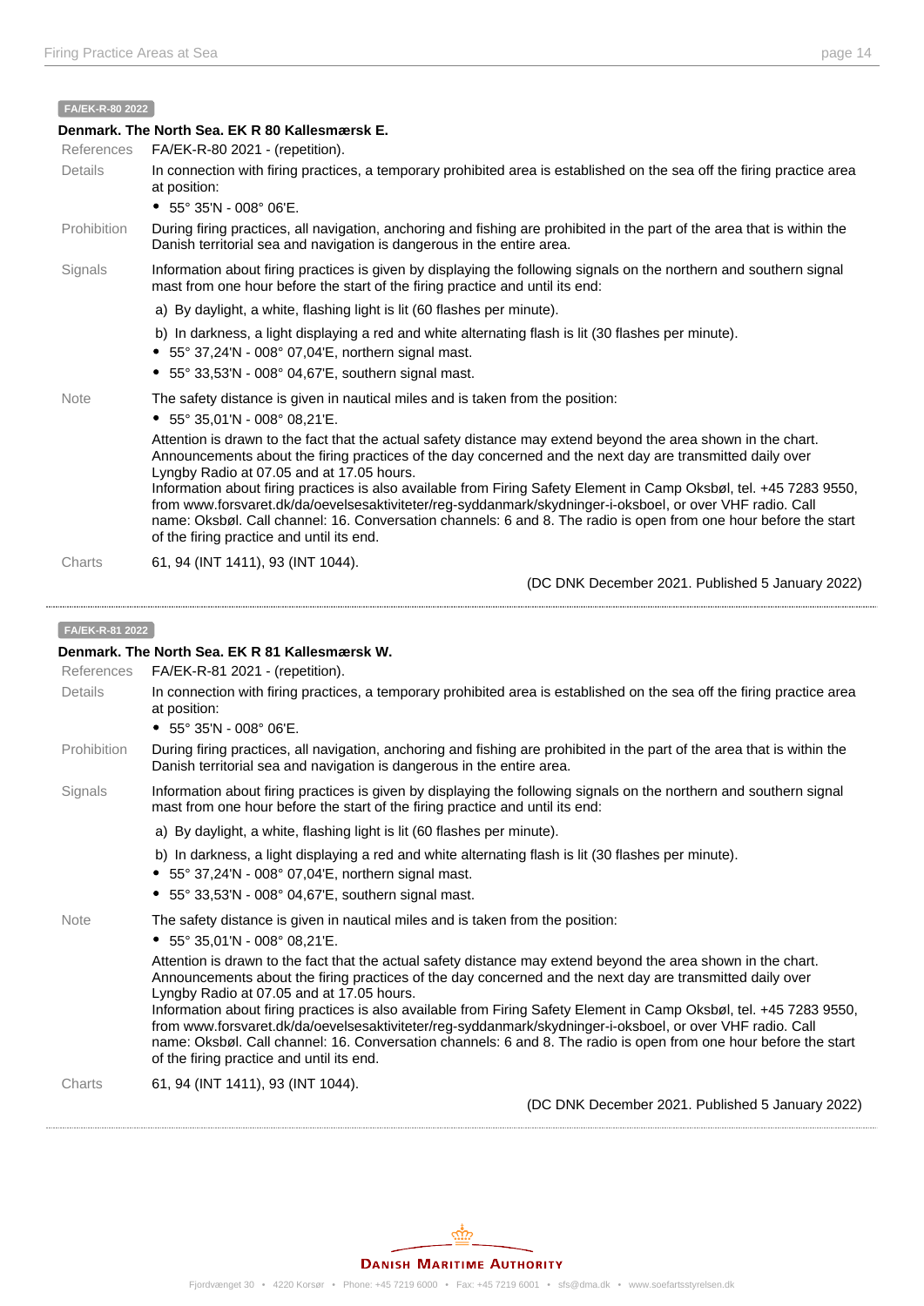#### **FA/EK-R-80 2022**

### **Denmark. The North Sea. EK R 80 Kallesmærsk E.** References FA/EK-R-80 2021 - (repetition). Details In connection with firing practices, a temporary prohibited area is established on the sea off the firing practice area at position: 55° 35'N - 008° 06'E. Prohibition During firing practices, all navigation, anchoring and fishing are prohibited in the part of the area that is within the Danish territorial sea and navigation is dangerous in the entire area. Signals Information about firing practices is given by displaying the following signals on the northern and southern signal mast from one hour before the start of the firing practice and until its end: a) By daylight, a white, flashing light is lit (60 flashes per minute). b) In darkness, a light displaying a red and white alternating flash is lit (30 flashes per minute). 55° 37,24'N - 008° 07,04'E, northern signal mast.  $\bullet$  55° 33,53'N - 008° 04,67'E, southern signal mast. Note The safety distance is given in nautical miles and is taken from the position: 55° 35,01'N - 008° 08,21'E. Attention is drawn to the fact that the actual safety distance may extend beyond the area shown in the chart. Announcements about the firing practices of the day concerned and the next day are transmitted daily over Lyngby Radio at 07.05 and at 17.05 hours. Information about firing practices is also available from Firing Safety Element in Camp Oksbøl, tel. +45 7283 9550, from [www.forsvaret.dk/da/oevelsesaktiviteter/reg-syddanmark/skydninger-i-oksboel](http://www.forsvaret.dk/da/oevelsesaktiviteter/reg-syddanmark/skydninger-i-oksboel), or over VHF radio. Call name: Oksbøl. Call channel: 16. Conversation channels: 6 and 8. The radio is open from one hour before the start of the firing practice and until its end. Charts 61, 94 (INT 1411), 93 (INT 1044). (DC DNK December 2021. Published 5 January 2022) **FA/EK-R-81 2022 Denmark. The North Sea. EK R 81 Kallesmærsk W.** References FA/EK-R-81 2021 - (repetition). Details In connection with firing practices, a temporary prohibited area is established on the sea off the firing practice area at position: 55° 35'N - 008° 06'E. Prohibition During firing practices, all navigation, anchoring and fishing are prohibited in the part of the area that is within the Danish territorial sea and navigation is dangerous in the entire area. Signals Information about firing practices is given by displaying the following signals on the northern and southern signal mast from one hour before the start of the firing practice and until its end: a) By daylight, a white, flashing light is lit (60 flashes per minute). b) In darkness, a light displaying a red and white alternating flash is lit (30 flashes per minute). 55° 37,24'N - 008° 07,04'E, northern signal mast.  $\bullet$  55° 33,53'N - 008° 04,67'E, southern signal mast. Note The safety distance is given in nautical miles and is taken from the position: 55° 35,01'N - 008° 08,21'E. Attention is drawn to the fact that the actual safety distance may extend beyond the area shown in the chart. Announcements about the firing practices of the day concerned and the next day are transmitted daily over Lyngby Radio at 07.05 and at 17.05 hours. Information about firing practices is also available from Firing Safety Element in Camp Oksbøl, tel. +45 7283 9550, from [www.forsvaret.dk/da/oevelsesaktiviteter/reg-syddanmark/skydninger-i-oksboel](http://www.forsvaret.dk/da/oevelsesaktiviteter/reg-syddanmark/skydninger-i-oksboel), or over VHF radio. Call name: Oksbøl. Call channel: 16. Conversation channels: 6 and 8. The radio is open from one hour before the start of the firing practice and until its end.

Charts 61, 94 (INT 1411), 93 (INT 1044).